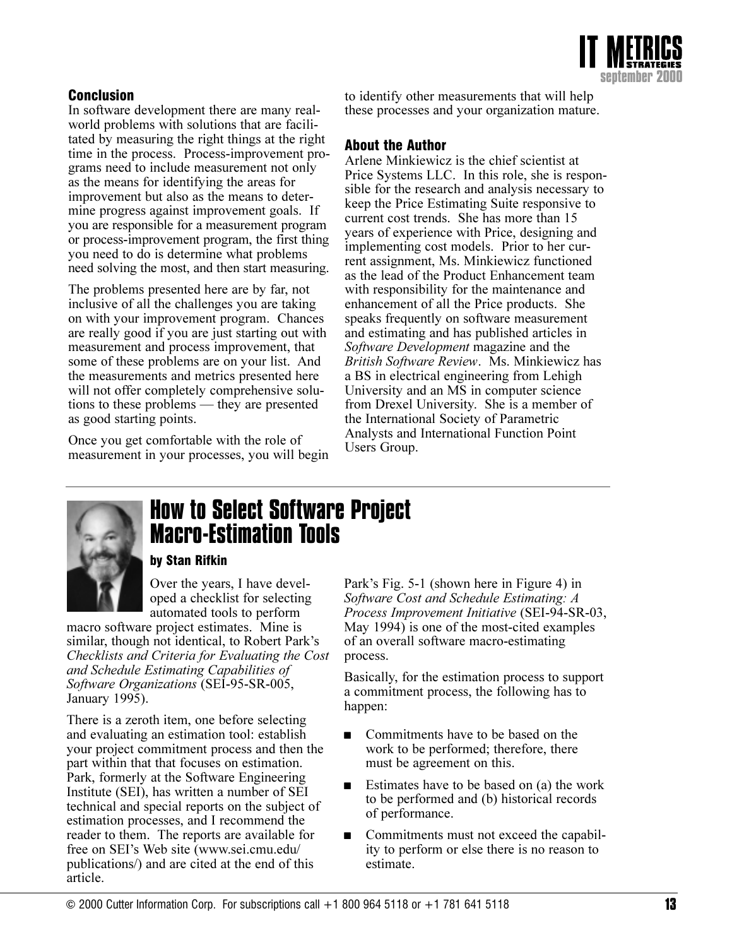

# **Conclusion**

In software development there are many realworld problems with solutions that are facilitated by measuring the right things at the right time in the process. Process-improvement programs need to include measurement not only as the means for identifying the areas for improvement but also as the means to determine progress against improvement goals. If you are responsible for a measurement program or process-improvement program, the first thing you need to do is determine what problems need solving the most, and then start measuring.

The problems presented here are by far, not inclusive of all the challenges you are taking on with your improvement program. Chances are really good if you are just starting out with measurement and process improvement, that some of these problems are on your list. And the measurements and metrics presented here will not offer completely comprehensive solutions to these problems — they are presented as good starting points.

Once you get comfortable with the role of measurement in your processes, you will begin to identify other measurements that will help these processes and your organization mature.

# **About the Author**

Arlene Minkiewicz is the chief scientist at Price Systems LLC. In this role, she is responsible for the research and analysis necessary to keep the Price Estimating Suite responsive to current cost trends. She has more than 15 years of experience with Price, designing and implementing cost models. Prior to her current assignment, Ms. Minkiewicz functioned as the lead of the Product Enhancement team with responsibility for the maintenance and enhancement of all the Price products. She speaks frequently on software measurement and estimating and has published articles in Software Development magazine and the British Software Review. Ms. Minkiewicz has a BS in electrical engineering from Lehigh University and an MS in computer science from Drexel University. She is a member of the International Society of Parametric Analysts and International Function Point Users Group.



# **How to Select Software Project Macro-Estimation Tools**

#### by Stan Rifkin

Over the years, I have developed a checklist for selecting automated tools to perform

macro software project estimates. Mine is similar, though not identical, to Robert Park's Checklists and Criteria for Evaluating the Cost and Schedule Estimating Capabilities of Software Organizations (SEI-95-SR-005, January 1995).

There is a zeroth item, one before selecting and evaluating an estimation tool: establish your project commitment process and then the part within that that focuses on estimation. Park, formerly at the Software Engineering Institute (SEI), has written a number of SEI technical and special reports on the subject of estimation processes, and I recommend the reader to them. The reports are available for free on SEI's Web site (www.sei.cmu.edu/ publications/) and are cited at the end of this article.

Park's Fig. 5-1 (shown here in Figure 4) in Software Cost and Schedule Estimating: A Process Improvement Initiative (SEI-94-SR-03, May 1994) is one of the most-cited examples of an overall software macro-estimating process.

Basically, for the estimation process to support a commitment process, the following has to happen:

- $\blacksquare$ Commitments have to be based on the work to be performed; therefore, there must be agreement on this.
- Estimates have to be based on (a) the work  $\blacksquare$ to be performed and (b) historical records of performance.
- Commitments must not exceed the capabil- $\blacksquare$ ity to perform or else there is no reason to estimate.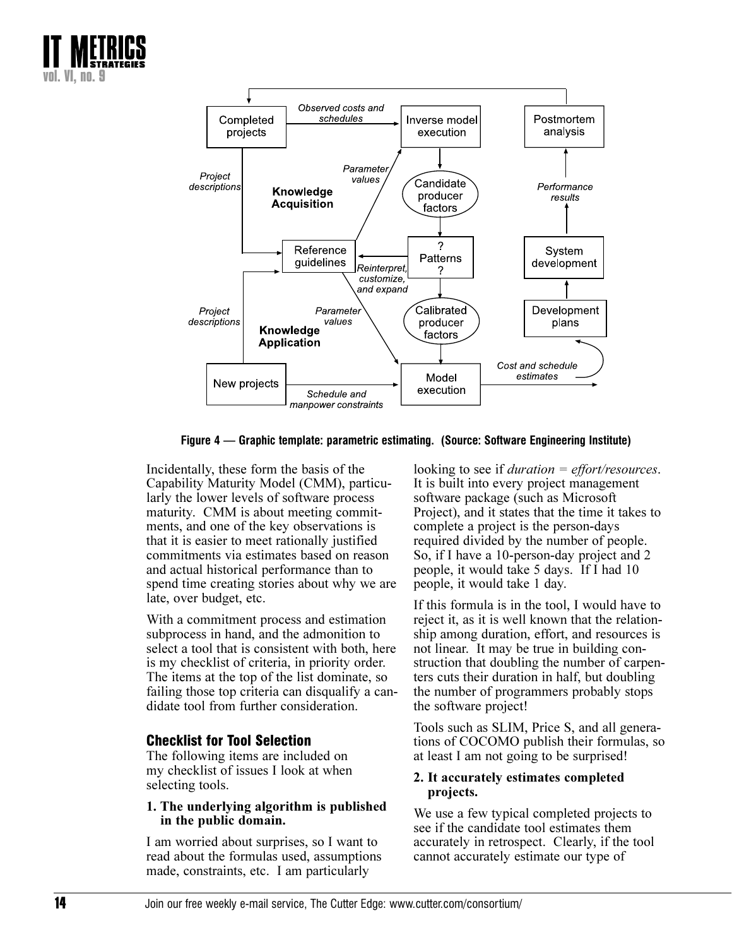



Figure 4 — Graphic template: parametric estimating. (Source: Software Engineering Institute)

Incidentally, these form the basis of the Capability Maturity Model (CMM), particularly the lower levels of software process maturity. CMM is about meeting commitments, and one of the key observations is that it is easier to meet rationally justified commitments via estimates based on reason and actual historical performance than to spend time creating stories about why we are late, over budget, etc.

With a commitment process and estimation subprocess in hand, and the admonition to select a tool that is consistent with both, here is my checklist of criteria, in priority order. The items at the top of the list dominate, so failing those top criteria can disqualify a candidate tool from further consideration.

# **Checklist for Tool Selection**

The following items are included on my checklist of issues I look at when selecting tools.

#### 1. The underlying algorithm is published in the public domain.

I am worried about surprises, so I want to read about the formulas used, assumptions made, constraints, etc. I am particularly

looking to see if *duration*  $=$  *effort/resources.* It is built into every project management software package (such as Microsoft Project), and it states that the time it takes to complete a project is the person-days required divided by the number of people. So, if I have a 10-person-day project and 2 people, it would take 5 days. If I had 10 people, it would take 1 day.

If this formula is in the tool, I would have to reject it, as it is well known that the relationship among duration, effort, and resources is not linear. It may be true in building construction that doubling the number of carpenters cuts their duration in half, but doubling the number of programmers probably stops the software project!

Tools such as SLIM, Price S, and all generations of COCOMO publish their formulas, so at least I am not going to be surprised!

#### 2. It accurately estimates completed projects.

We use a few typical completed projects to see if the candidate tool estimates them accurately in retrospect. Clearly, if the tool cannot accurately estimate our type of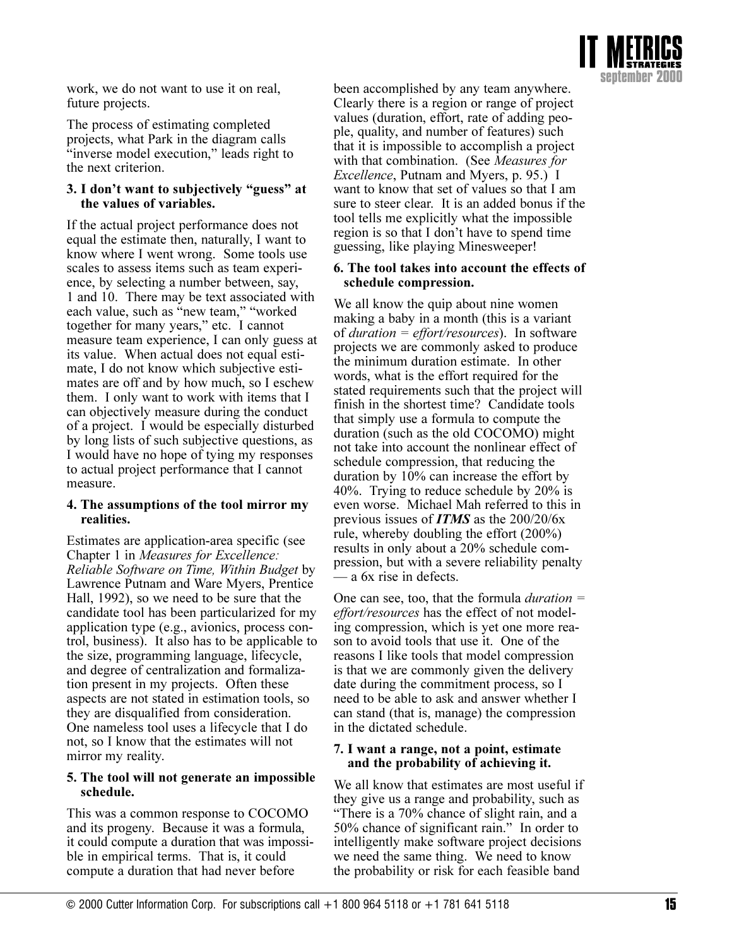

work, we do not want to use it on real, future projects.

The process of estimating completed projects, what Park in the diagram calls "inverse model execution," leads right to the next criterion.

#### 3. I don't want to subjectively "guess" at the values of variables.

If the actual project performance does not equal the estimate then, naturally, I want to know where I went wrong. Some tools use scales to assess items such as team experience, by selecting a number between, say, 1 and 10. There may be text associated with each value, such as "new team," "worked" together for many years," etc. I cannot measure team experience, I can only guess at its value. When actual does not equal estimate, I do not know which subjective estimates are off and by how much, so I eschew them. I only want to work with items that I can objectively measure during the conduct of a project. I would be especially disturbed by long lists of such subjective questions, as I would have no hope of tying my responses to actual project performance that I cannot measure.

#### 4. The assumptions of the tool mirror my realities.

Estimates are application-area specific (see Chapter 1 in *Measures for Excellence*: Reliable Software on Time, Within Budget by Lawrence Putnam and Ware Myers, Prentice Hall, 1992), so we need to be sure that the candidate tool has been particularized for my application type (e.g., avionics, process control, business). It also has to be applicable to the size, programming language, lifecycle, and degree of centralization and formalization present in my projects. Often these aspects are not stated in estimation tools, so they are disqualified from consideration. One nameless tool uses a lifecycle that I do not, so I know that the estimates will not mirror my reality.

#### 5. The tool will not generate an impossible schedule.

This was a common response to COCOMO and its progeny. Because it was a formula, it could compute a duration that was impossible in empirical terms. That is, it could compute a duration that had never before

been accomplished by any team anywhere. Clearly there is a region or range of project values (duration, effort, rate of adding people, quality, and number of features) such that it is impossible to accomplish a project with that combination. (See *Measures for Excellence*, Putnam and Myers, p. 95.) I want to know that set of values so that I am sure to steer clear. It is an added bonus if the tool tells me explicitly what the impossible region is so that I don't have to spend time guessing, like playing Minesweeper!

#### 6. The tool takes into account the effects of schedule compression.

We all know the quip about nine women making a baby in a month (this is a variant of *duration* =  $effort/resources$ ). In software projects we are commonly asked to produce the minimum duration estimate. In other words, what is the effort required for the stated requirements such that the project will finish in the shortest time? Candidate tools that simply use a formula to compute the duration (such as the old COCOMO) might not take into account the nonlinear effect of schedule compression, that reducing the duration by 10% can increase the effort by 40%. Trying to reduce schedule by 20% is even worse. Michael Mah referred to this in previous issues of **ITMS** as the  $200/20/6x$ rule, whereby doubling the effort  $(200\%)$ results in only about a 20% schedule compression, but with a severe reliability penalty – a 6x rise in defects.

One can see, too, that the formula *duration* = effort/resources has the effect of not modeling compression, which is yet one more reason to avoid tools that use it. One of the reasons I like tools that model compression is that we are commonly given the delivery date during the commitment process, so I need to be able to ask and answer whether I can stand (that is, manage) the compression in the dictated schedule.

#### 7. I want a range, not a point, estimate and the probability of achieving it.

We all know that estimates are most useful if they give us a range and probability, such as "There is a 70% chance of slight rain, and a 50% chance of significant rain." In order to intelligently make software project decisions we need the same thing. We need to know the probability or risk for each feasible band